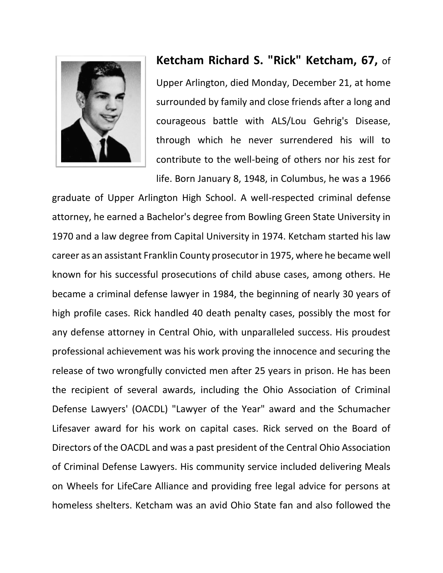

## **Ketcham Richard S. "Rick" Ketcham, 67,** of

Upper Arlington, died Monday, December 21, at home surrounded by family and close friends after a long and courageous battle with ALS/Lou Gehrig's Disease, through which he never surrendered his will to contribute to the well-being of others nor his zest for life. Born January 8, 1948, in Columbus, he was a 1966

graduate of Upper Arlington High School. A well-respected criminal defense attorney, he earned a Bachelor's degree from Bowling Green State University in 1970 and a law degree from Capital University in 1974. Ketcham started his law career as an assistant Franklin County prosecutor in 1975, where he became well known for his successful prosecutions of child abuse cases, among others. He became a criminal defense lawyer in 1984, the beginning of nearly 30 years of high profile cases. Rick handled 40 death penalty cases, possibly the most for any defense attorney in Central Ohio, with unparalleled success. His proudest professional achievement was his work proving the innocence and securing the release of two wrongfully convicted men after 25 years in prison. He has been the recipient of several awards, including the Ohio Association of Criminal Defense Lawyers' (OACDL) "Lawyer of the Year" award and the Schumacher Lifesaver award for his work on capital cases. Rick served on the Board of Directors of the OACDL and was a past president of the Central Ohio Association of Criminal Defense Lawyers. His community service included delivering Meals on Wheels for LifeCare Alliance and providing free legal advice for persons at homeless shelters. Ketcham was an avid Ohio State fan and also followed the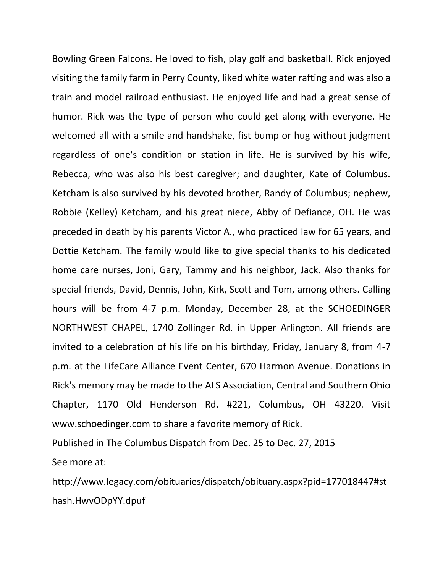Bowling Green Falcons. He loved to fish, play golf and basketball. Rick enjoyed visiting the family farm in Perry County, liked white water rafting and was also a train and model railroad enthusiast. He enjoyed life and had a great sense of humor. Rick was the type of person who could get along with everyone. He welcomed all with a smile and handshake, fist bump or hug without judgment regardless of one's condition or station in life. He is survived by his wife, Rebecca, who was also his best caregiver; and daughter, Kate of Columbus. Ketcham is also survived by his devoted brother, Randy of Columbus; nephew, Robbie (Kelley) Ketcham, and his great niece, Abby of Defiance, OH. He was preceded in death by his parents Victor A., who practiced law for 65 years, and Dottie Ketcham. The family would like to give special thanks to his dedicated home care nurses, Joni, Gary, Tammy and his neighbor, Jack. Also thanks for special friends, David, Dennis, John, Kirk, Scott and Tom, among others. Calling hours will be from 4-7 p.m. Monday, December 28, at the SCHOEDINGER NORTHWEST CHAPEL, 1740 Zollinger Rd. in Upper Arlington. All friends are invited to a celebration of his life on his birthday, Friday, January 8, from 4-7 p.m. at the LifeCare Alliance Event Center, 670 Harmon Avenue. Donations in Rick's memory may be made to the ALS Association, Central and Southern Ohio Chapter, 1170 Old Henderson Rd. #221, Columbus, OH 43220. Visit www.schoedinger.com to share a favorite memory of Rick.

Published in The Columbus Dispatch from Dec. 25 to Dec. 27, 2015 See more at:

http://www.legacy.com/obituaries/dispatch/obituary.aspx?pid=177018447#st hash.HwvODpYY.dpuf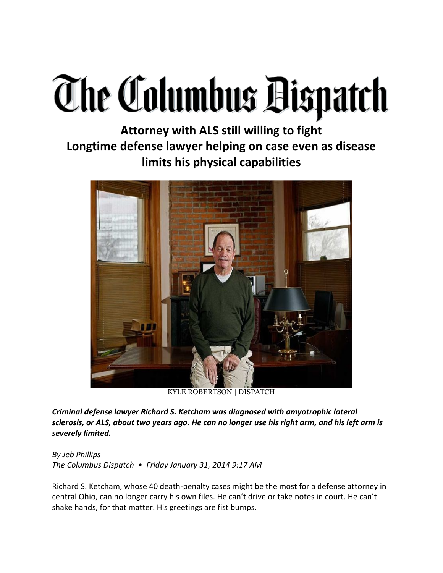## **The Columbus Bispatch**

**Attorney with ALS still willing to fight Longtime defense lawyer helping on case even as disease limits his physical capabilities**



KYLE ROBERTSON | DISPATCH

*Criminal defense lawyer Richard S. Ketcham was diagnosed with amyotrophic lateral sclerosis, or ALS, about two years ago. He can no longer use his right arm, and his left arm is severely limited.*

*By Jeb Phillips The Columbus Dispatch • Friday January 31, 2014 9:17 AM*

Richard S. Ketcham, whose 40 death-penalty cases might be the most for a defense attorney in central Ohio, can no longer carry his own files. He can't drive or take notes in court. He can't shake hands, for that matter. His greetings are fist bumps.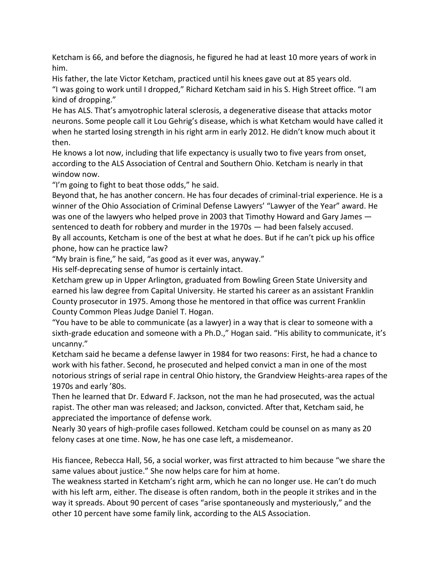Ketcham is 66, and before the diagnosis, he figured he had at least 10 more years of work in him.

His father, the late Victor Ketcham, practiced until his knees gave out at 85 years old. "I was going to work until I dropped," Richard Ketcham said in his S. High Street office. "I am kind of dropping."

He has ALS. That's amyotrophic lateral sclerosis, a degenerative disease that attacks motor neurons. Some people call it Lou Gehrig's disease, which is what Ketcham would have called it when he started losing strength in his right arm in early 2012. He didn't know much about it then.

He knows a lot now, including that life expectancy is usually two to five years from onset, according to the ALS Association of Central and Southern Ohio. Ketcham is nearly in that window now.

"I'm going to fight to beat those odds," he said.

Beyond that, he has another concern. He has four decades of criminal-trial experience. He is a winner of the Ohio Association of Criminal Defense Lawyers' "Lawyer of the Year" award. He was one of the lawyers who helped prove in 2003 that Timothy Howard and Gary James sentenced to death for robbery and murder in the 1970s — had been falsely accused. By all accounts, Ketcham is one of the best at what he does. But if he can't pick up his office phone, how can he practice law?

"My brain is fine," he said, "as good as it ever was, anyway."

His self-deprecating sense of humor is certainly intact.

Ketcham grew up in Upper Arlington, graduated from Bowling Green State University and earned his law degree from Capital University. He started his career as an assistant Franklin County prosecutor in 1975. Among those he mentored in that office was current Franklin County Common Pleas Judge Daniel T. Hogan.

"You have to be able to communicate (as a lawyer) in a way that is clear to someone with a sixth-grade education and someone with a Ph.D.," Hogan said. "His ability to communicate, it's uncanny."

Ketcham said he became a defense lawyer in 1984 for two reasons: First, he had a chance to work with his father. Second, he prosecuted and helped convict a man in one of the most notorious strings of serial rape in central Ohio history, the Grandview Heights-area rapes of the 1970s and early '80s.

Then he learned that Dr. Edward F. Jackson, not the man he had prosecuted, was the actual rapist. The other man was released; and Jackson, convicted. After that, Ketcham said, he appreciated the importance of defense work.

Nearly 30 years of high-profile cases followed. Ketcham could be counsel on as many as 20 felony cases at one time. Now, he has one case left, a misdemeanor.

His fiancee, Rebecca Hall, 56, a social worker, was first attracted to him because "we share the same values about justice." She now helps care for him at home.

The weakness started in Ketcham's right arm, which he can no longer use. He can't do much with his left arm, either. The disease is often random, both in the people it strikes and in the way it spreads. About 90 percent of cases "arise spontaneously and mysteriously," and the other 10 percent have some family link, according to the ALS Association.